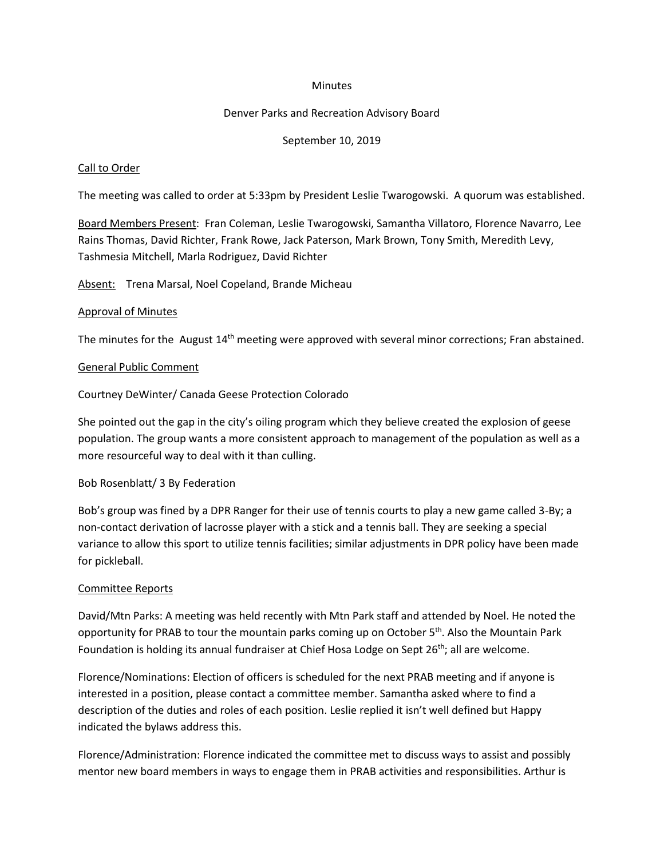#### **Minutes**

### Denver Parks and Recreation Advisory Board

### September 10, 2019

#### Call to Order

The meeting was called to order at 5:33pm by President Leslie Twarogowski. A quorum was established.

Board Members Present: Fran Coleman, Leslie Twarogowski, Samantha Villatoro, Florence Navarro, Lee Rains Thomas, David Richter, Frank Rowe, Jack Paterson, Mark Brown, Tony Smith, Meredith Levy, Tashmesia Mitchell, Marla Rodriguez, David Richter

Absent: Trena Marsal, Noel Copeland, Brande Micheau

#### Approval of Minutes

The minutes for the August 14<sup>th</sup> meeting were approved with several minor corrections; Fran abstained.

#### General Public Comment

Courtney DeWinter/ Canada Geese Protection Colorado

She pointed out the gap in the city's oiling program which they believe created the explosion of geese population. The group wants a more consistent approach to management of the population as well as a more resourceful way to deal with it than culling.

#### Bob Rosenblatt/ 3 By Federation

Bob's group was fined by a DPR Ranger for their use of tennis courts to play a new game called 3-By; a non-contact derivation of lacrosse player with a stick and a tennis ball. They are seeking a special variance to allow this sport to utilize tennis facilities; similar adjustments in DPR policy have been made for pickleball.

## Committee Reports

David/Mtn Parks: A meeting was held recently with Mtn Park staff and attended by Noel. He noted the opportunity for PRAB to tour the mountain parks coming up on October  $5<sup>th</sup>$ . Also the Mountain Park Foundation is holding its annual fundraiser at Chief Hosa Lodge on Sept 26<sup>th</sup>; all are welcome.

Florence/Nominations: Election of officers is scheduled for the next PRAB meeting and if anyone is interested in a position, please contact a committee member. Samantha asked where to find a description of the duties and roles of each position. Leslie replied it isn't well defined but Happy indicated the bylaws address this.

Florence/Administration: Florence indicated the committee met to discuss ways to assist and possibly mentor new board members in ways to engage them in PRAB activities and responsibilities. Arthur is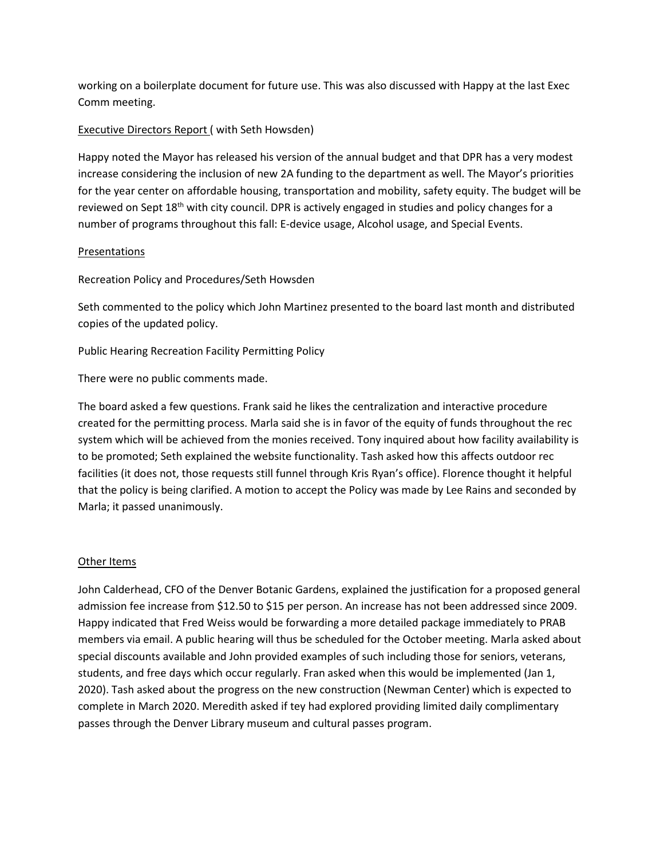working on a boilerplate document for future use. This was also discussed with Happy at the last Exec Comm meeting.

# Executive Directors Report ( with Seth Howsden)

Happy noted the Mayor has released his version of the annual budget and that DPR has a very modest increase considering the inclusion of new 2A funding to the department as well. The Mayor's priorities for the year center on affordable housing, transportation and mobility, safety equity. The budget will be reviewed on Sept 18<sup>th</sup> with city council. DPR is actively engaged in studies and policy changes for a number of programs throughout this fall: E-device usage, Alcohol usage, and Special Events.

# Presentations

Recreation Policy and Procedures/Seth Howsden

Seth commented to the policy which John Martinez presented to the board last month and distributed copies of the updated policy.

Public Hearing Recreation Facility Permitting Policy

There were no public comments made.

The board asked a few questions. Frank said he likes the centralization and interactive procedure created for the permitting process. Marla said she is in favor of the equity of funds throughout the rec system which will be achieved from the monies received. Tony inquired about how facility availability is to be promoted; Seth explained the website functionality. Tash asked how this affects outdoor rec facilities (it does not, those requests still funnel through Kris Ryan's office). Florence thought it helpful that the policy is being clarified. A motion to accept the Policy was made by Lee Rains and seconded by Marla; it passed unanimously.

## Other Items

John Calderhead, CFO of the Denver Botanic Gardens, explained the justification for a proposed general admission fee increase from \$12.50 to \$15 per person. An increase has not been addressed since 2009. Happy indicated that Fred Weiss would be forwarding a more detailed package immediately to PRAB members via email. A public hearing will thus be scheduled for the October meeting. Marla asked about special discounts available and John provided examples of such including those for seniors, veterans, students, and free days which occur regularly. Fran asked when this would be implemented (Jan 1, 2020). Tash asked about the progress on the new construction (Newman Center) which is expected to complete in March 2020. Meredith asked if tey had explored providing limited daily complimentary passes through the Denver Library museum and cultural passes program.